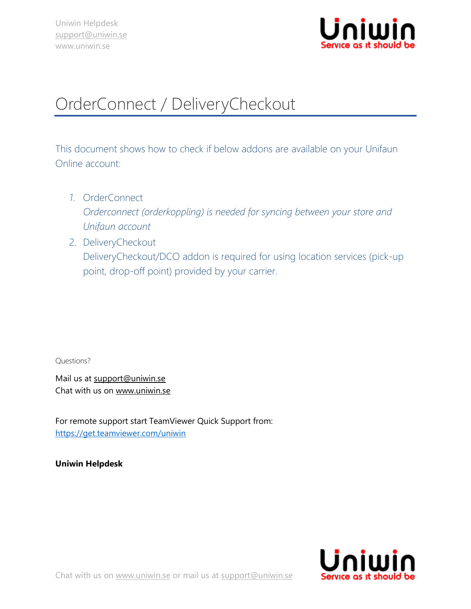

## OrderConnect / DeliveryCheckout

This document shows how to check if below addons are available on your Unifaun Online account:

- *1.* OrderConnect *Orderconnect (orderkoppling) is needed for syncing between your store and Unifaun account*
- 2. DeliveryCheckout DeliveryCheckout/DCO addon is required for using location services (pick-up point, drop-off point) provided by your carrier.

Questions?

Mail us at [support@uniwin.se](mailto:support@uniwin.se) Chat with us on [www.uniwin.se](http://www.uniwin.se/)

For remote support start TeamViewer Quick Support from: <https://get.teamviewer.com/uniwin>

**Uniwin Helpdesk**



Chat with us on [www.uniwin.se](http://www.uniwin.se/) or mail us at [support@uniwin.se](mailto:support@uniwin.se)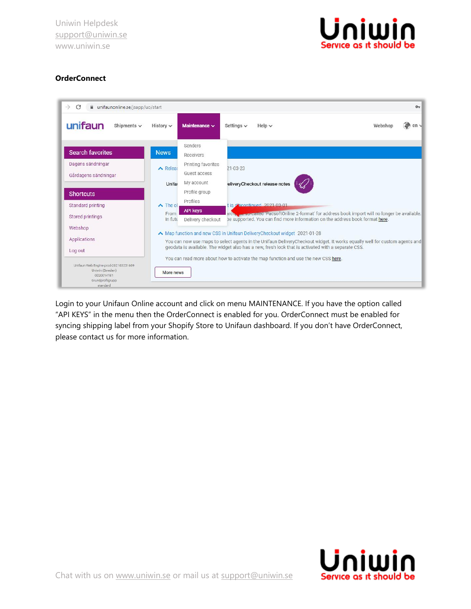Uniwin Helpdesk [support@uniwin.se](mailto:support@uniwin.se) www.uniwin.se



## **OrderConnect**



Login to your Unifaun Online account and click on menu MAINTENANCE. If you have the option called "API KEYS" in the menu then the OrderConnect is enabled for you. OrderConnect must be enabled for syncing shipping label from your Shopify Store to Unifaun dashboard. If you don't have OrderConnect, please contact us for more information.